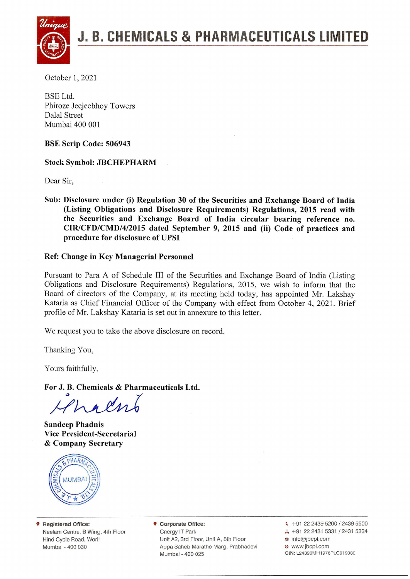

October 1, 2021

BSE Ltd. Phiroze Jeejeebhoy Towers Dalal Street Mumbai 400 001

**BSE Scrip Code: 506943**

**Stock Symbol: JBCHEPHARM**

Dear Sir,

**Sub: Disclosure under (i) Regulation 30 of the Securities and Exchange Board of India (Listing Obligations and Disclosure Requirements) Regulations, 2015 read with the Securities and Exchange Board of India circular bearing reference no. CIR/CFD/CMD/4/2015 dated September 9, 2015 and (ii) Code of practices and procedure for disclosure of UPSI**

### **Ref: Change in Key Managerial Personnel**

Pursuant to Para A of Schedule III of the Securities and Exchange Board of India (Listing Obligations and Disclosure Requirements) Regulations, 2015, we wish to inform that the Board of directors of the Company, at its meeting held today, has appointed Mr. Lakshay Kataria as Chief Financial Officer of the Company with effect from October 4, 2021. Brief profile of Mr. Lakshay Kataria is set out in annexure to this letter.

We request you to take the above disclosure on record.

Thanking You,

Yours faithfully,

**For J. B. Chemicals & Pharmaceuticals Ltd.**

Hhaln

**Sandeep Phadnis Vice President-Secretarial** & **Company Secretary**



9 **Registered Office:** Neelam Centre, <sup>B</sup> Wing, 4th Floor Hind Cycle Road, Worli Mumbai - 400 030

9 **Corporate Office:** Cnergy IT Park Unit A2, 3rd Floor, Unit A, 8th Floor Appa Saheb Marathe Marg, Prabhadevi Mumbai - 400 025

 $\leftarrow$  +91 22 2439 5200 / 2439 5500 A +91 22 2431 5331 / 2431 5334 @ info@jbcpl.com www.jbcpl.com **CIN:** L24390MH1976PLC019380